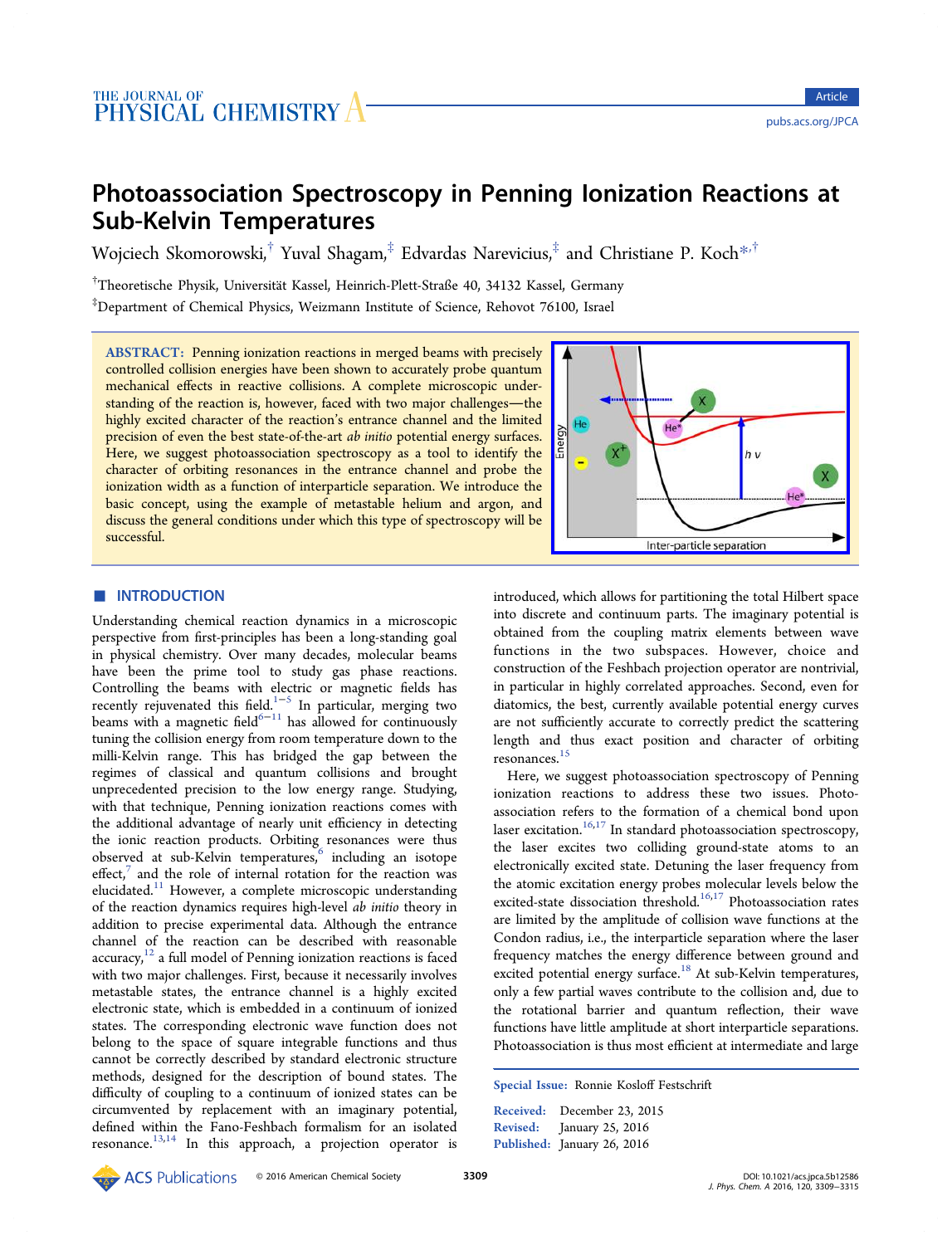# Photoassociation Spectroscopy in Penning Ionization Reactions at Sub-Kelvin Temperatures

Wojciech Skomorowski,<sup>†</sup> Yuval Shagam,<sup>‡</sup> Edvardas Narevicius,<sup>‡</sup> and Christiane P. Koch<sup>\*,†</sup>

<sup>†</sup>Theoretische Physik, Universität Kassel, Heinrich-Plett-Straße 40, 34132 Kassel, Germany

‡ Department of Chemical Physics, Weizmann Institute of Science, Rehovot 76100, Israel

ABSTRACT: Penning ionization reactions in merged beams with precisely controlled collision energies have been shown to accurately probe quantum mechanical effects in reactive collisions. A complete microscopic understanding of the reaction is, however, faced with two major challenges-the highly excited character of the reaction's entrance channel and the limited precision of even the best state-of-the-art ab initio potential energy surfaces. Here, we suggest photoassociation spectroscopy as a tool to identify the character of orbiting resonances in the entrance channel and probe the ionization width as a function of interparticle separation. We introduce the basic concept, using the example of metastable helium and argon, and discuss the general conditions under which this type of spectroscopy will be successful.



## **ENTRODUCTION**

Understanding chemical reaction dynamics in a microscopic perspective from first-principles has been a long-standing goal in physical chemistry. Over many decades, molecular beams have been the prime tool to study gas phase reactions. Controlling the beams with electric or magnetic fields has recently rejuvenated this field.1−<sup>5</sup> In particular, merging two beams with a magnetic field<sup>6−11</sup> has allowed for continuously tuning the collision energy fro[m](#page-5-0) r[oo](#page-5-0)m temperature down to the milli-Kelvin range. This h[as br](#page-5-0)idged the gap between the regimes of classical and quantum collisions and brought unprecedented precision to the low energy range. Studying, with that technique, Penning ionization reactions comes with the additional advantage of nearly unit efficiency in detecting the ionic reaction products. Orbiting resonances were thus observed at sub-Kelvin temperatures,<sup>6</sup> including an isotope effect, $7$  and the role of internal rotation for the reaction was elucidated.<sup>11</sup> However, a complete mi[cr](#page-5-0)oscopic understanding of th[e](#page-5-0) reaction dynamics requires high-level ab initio theory in addition t[o p](#page-5-0)recise experimental data. Although the entrance channel of the reaction can be described with reasonable  $accuracy<sub>1</sub><sup>12</sup>$  a full model of Penning ionization reactions is faced with two major challenges. First, because it necessarily involves metastab[le](#page-5-0) states, the entrance channel is a highly excited electronic state, which is embedded in a continuum of ionized states. The corresponding electronic wave function does not belong to the space of square integrable functions and thus cannot be correctly described by standard electronic structure methods, designed for the description of bound states. The difficulty of coupling to a continuum of ionized states can be circumvented by replacement with an imaginary potential, defined within the Fano-Feshbach formalism for an isolated resonance.<sup>13,14</sup> In this approach, a projection operator is introduce[d,](http://pubsdc3.acs.org/action/showImage?doi=10.1021/acs.jpca.5b12586&iName=master.img-000.jpg&w=190&h=134) [which](http://pubsdc3.acs.org/action/showImage?doi=10.1021/acs.jpca.5b12586&iName=master.img-000.jpg&w=190&h=134) [allows](http://pubsdc3.acs.org/action/showImage?doi=10.1021/acs.jpca.5b12586&iName=master.img-000.jpg&w=190&h=134) [for](http://pubsdc3.acs.org/action/showImage?doi=10.1021/acs.jpca.5b12586&iName=master.img-000.jpg&w=190&h=134) [partitioning](http://pubsdc3.acs.org/action/showImage?doi=10.1021/acs.jpca.5b12586&iName=master.img-000.jpg&w=190&h=134) [the](http://pubsdc3.acs.org/action/showImage?doi=10.1021/acs.jpca.5b12586&iName=master.img-000.jpg&w=190&h=134) [total](http://pubsdc3.acs.org/action/showImage?doi=10.1021/acs.jpca.5b12586&iName=master.img-000.jpg&w=190&h=134) [Hilbert](http://pubsdc3.acs.org/action/showImage?doi=10.1021/acs.jpca.5b12586&iName=master.img-000.jpg&w=190&h=134) [spa](http://pubsdc3.acs.org/action/showImage?doi=10.1021/acs.jpca.5b12586&iName=master.img-000.jpg&w=190&h=134)ce into discrete and continuum parts. The imaginary potential is obtained from the coupling matrix elements between wave functions in the two subspaces. However, choice and construction of the Feshbach projection operator are nontrivial, in particular in highly correlated approaches. Second, even for diatomics, the best, currently available potential energy curves are not sufficiently accurate to correctly predict the scattering length and thus exact position and character of orbiting resonances.<sup>15</sup>

Here, we suggest photoassociation spectroscopy of Penning ionization [re](#page-5-0)actions to address these two issues. Photoassociation refers to the formation of a chemical bond upon laser excitation.<sup>16,17</sup> In standard photoassociation spectroscopy, the laser excites two colliding ground-state atoms to an electronically e[xcite](#page-5-0)d state. Detuning the laser frequency from the atomic excitation energy probes molecular levels below the excited-state dissociation threshold.<sup>16,17</sup> Photoassociation rates are limited by the amplitude of collision wave functions at the Condon radius, i.e., the interparticl[e sep](#page-5-0)aration where the laser frequency matches the energy difference between ground and excited potential energy surface.<sup>18</sup> At sub-Kelvin temperatures, only a few partial waves contribute to the collision and, due to the rotational barrier and q[uan](#page-5-0)tum reflection, their wave functions have little amplitude at short interparticle separations. Photoassociation is thus most efficient at intermediate and large

Special Issue: Ronnie Kosloff Festschrift

Received: December 23, 2015 Revised: January 25, 2016 Published: January 26, 2016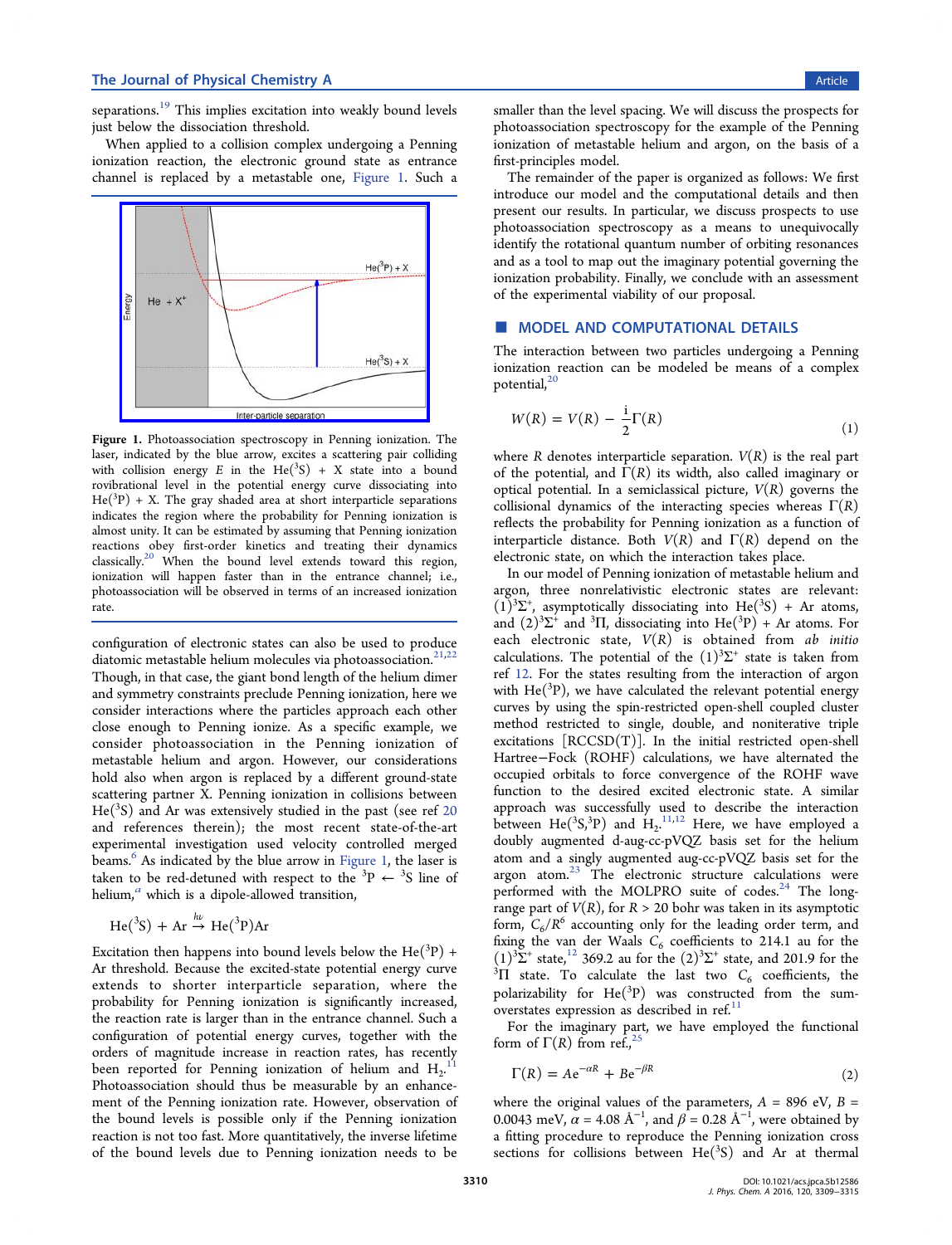<span id="page-1-0"></span>separations.<sup>19</sup> This implies excitation into weakly bound levels just below the dissociation threshold.

When ap[pli](#page-5-0)ed to a collision complex undergoing a Penning ionization reaction, the electronic ground state as entrance channel is replaced by a metastable one, Figure 1. Such a



Figure 1. [Photoassociation spectroscopy in Penning ionization](http://pubsdc3.acs.org/action/showImage?doi=10.1021/acs.jpca.5b12586&iName=master.img-001.jpg&w=198&h=139). The laser, indicated by the blue arrow, excites a scattering pair colliding with collision energy E in the  $He(^{3}S) + X$  state into a bound rovibrational level in the potential energy curve dissociating into  $He(^{3}P) + X$ . The gray shaded area at short interparticle separations indicates the region where the probability for Penning ionization is almost unity. It can be estimated by assuming that Penning ionization reactions obey first-order kinetics and treating their dynamics classically.<sup>20</sup> When the bound level extends toward this region, ionization will happen faster than in the entrance channel; i.e., photoasso[cia](#page-5-0)tion will be observed in terms of an increased ionization rate.

configuration of electronic states can also be used to produce diatomic metastable helium molecules via photoassociation.<sup>21,22</sup> Though, in that case, the giant bond length of the helium dimer and symmetry constraints preclude Penning ionization, her[e we](#page-5-0) consider interactions where the particles approach each other close enough to Penning ionize. As a specific example, we consider photoassociation in the Penning ionization of metastable helium and argon. However, our considerations hold also when argon is replaced by a different ground-state scattering partner X. Penning ionization in collisions between  $He({}^{3}S)$  and Ar was extensively studied in the past (see ref 20 and references therein); the most recent state-of-the-art experimental investigation used velocity controlled mer[ged](#page-5-0) beams.<sup>6</sup> As indicated by the blue arrow in Figure 1, the laser is taken to be red-detuned with respect to the <sup>3</sup>P  $\leftarrow$  <sup>3</sup>S line of heliu[m,](#page-5-0) $^a$  which is a dipole-allowed transition,

$$
He(^3S) + Ar \xrightarrow{h\nu} He(^3P)Ar
$$

Excitation then happens into bound levels below the  $\operatorname{He}(^{3}\text{P})$  + Ar threshold. Because the excited-state potential energy curve extends to shorter interparticle separation, where the probability for Penning ionization is significantly increased, the reaction rate is larger than in the entrance channel. Such a configuration of potential energy curves, together with the orders of magnitude increase in reaction rates, has recently been reported for Penning ionization of helium and  $\mathrm{H_2}^{11}$ Photoassociation should thus be measurable by an enhancement of the Penning ionization rate. However, observation [of](#page-5-0) the bound levels is possible only if the Penning ionization reaction is not too fast. More quantitatively, the inverse lifetime of the bound levels due to Penning ionization needs to be

smaller than the level spacing. We will discuss the prospects for photoassociation spectroscopy for the example of the Penning ionization of metastable helium and argon, on the basis of a first-principles model.

The remainder of the paper is organized as follows: We first introduce our model and the computational details and then present our results. In particular, we discuss prospects to use photoassociation spectroscopy as a means to unequivocally identify the rotational quantum number of orbiting resonances and as a tool to map out the imaginary potential governing the ionization probability. Finally, we conclude with an assessment of the experimental viability of our proposal.

## **MODEL AND COMPUTATIONAL DETAILS**

The interaction between two particles undergoing a Penning ionization reaction can be modeled be means of a complex potential,<sup>20</sup>

$$
W(R) = V(R) - \frac{1}{2}\Gamma(R)
$$
\n<sup>(1)</sup>

where R denotes interparticle separation.  $V(R)$  is the real part of the potential, and  $\Gamma(R)$  its width, also called imaginary or optical potential. In a semiclassical picture,  $V(R)$  governs the collisional dynamics of the interacting species whereas  $\Gamma(R)$ reflects the probability for Penning ionization as a function of interparticle distance. Both  $V(R)$  and  $\Gamma(R)$  depend on the electronic state, on which the interaction takes place.

In our model of Penning ionization of metastable helium and argon, three nonrelativistic electronic states are relevant:  $(1)^3\Sigma^+$ , asymptotically dissociating into He(<sup>3</sup>S) + Ar atoms, and  $(2)^3\Sigma^+$  and  $^3\Pi$ , dissociating into  $\text{He}(^{3}P)$  + Ar atoms. For each electronic state,  $V(R)$  is obtained from ab initio calculations. The potential of the  $(1)^3\Sigma^+$  state is taken from ref 12. For the states resulting from the interaction of argon with  $He({}^{3}P)$ , we have calculated the relevant potential energy cur[ves](#page-5-0) by using the spin-restricted open-shell coupled cluster method restricted to single, double, and noniterative triple excitations [RCCSD(T)]. In the initial restricted open-shell Hartree−Fock (ROHF) calculations, we have alternated the occupied orbitals to force convergence of the ROHF wave function to the desired excited electronic state. A similar approach was successfully used to describe the interaction between He( ${}^{3}S, {}^{3}P$ ) and  $H_2$ ,  ${}^{11,12}$  Here, we have employed a doubly augmented d-aug-cc-pVQZ basis set for the helium atom and a singly augment[ed au](#page-5-0)g-cc-pVQZ basis set for the argon atom.<sup>23</sup> The electronic structure calculations were performed with the MOLPRO suite of codes.<sup>24</sup> The longrange part of  $V(R)$  $V(R)$ , for  $R > 20$  bohr was taken in its asymptotic form,  $C_6/R^6$  accounting only for the leading or[de](#page-6-0)r term, and fixing the van der Waals  $C_6$  coefficients to 214.1 au for the  $(1)^3\Sigma^+$  state,<sup>12</sup> 369.2 au for the  $(2)^3\Sigma^+$  state, and 201.9 for the 3D state. To calculate the last two C, coefficients the <sup>3</sup> $\Pi$  state. To calculate the last two  $C_6$  coefficients, the polarizabilit[y](#page-5-0) for  $\text{He}({}^{3}\text{P})$  was constructed from the sumoverstates expression as described in ref. $^{11}$ 

For the imaginary part, we have employed the functional form of  $\Gamma(R)$  from ref.,<sup>25</sup>

$$
\Gamma(R) = Ae^{-\alpha R} + Be^{-\beta R}
$$
 (2)

where the original values of the parameters,  $A = 896$  eV,  $B =$ 0.0043 meV,  $\alpha$  = 4.08 Å<sup>-1</sup>, and  $\beta$  = 0.28 Å<sup>-1</sup>, were obtained by a fitting procedure to reproduce the Penning ionization cross sections for collisions between  $He(^3S)$  and Ar at thermal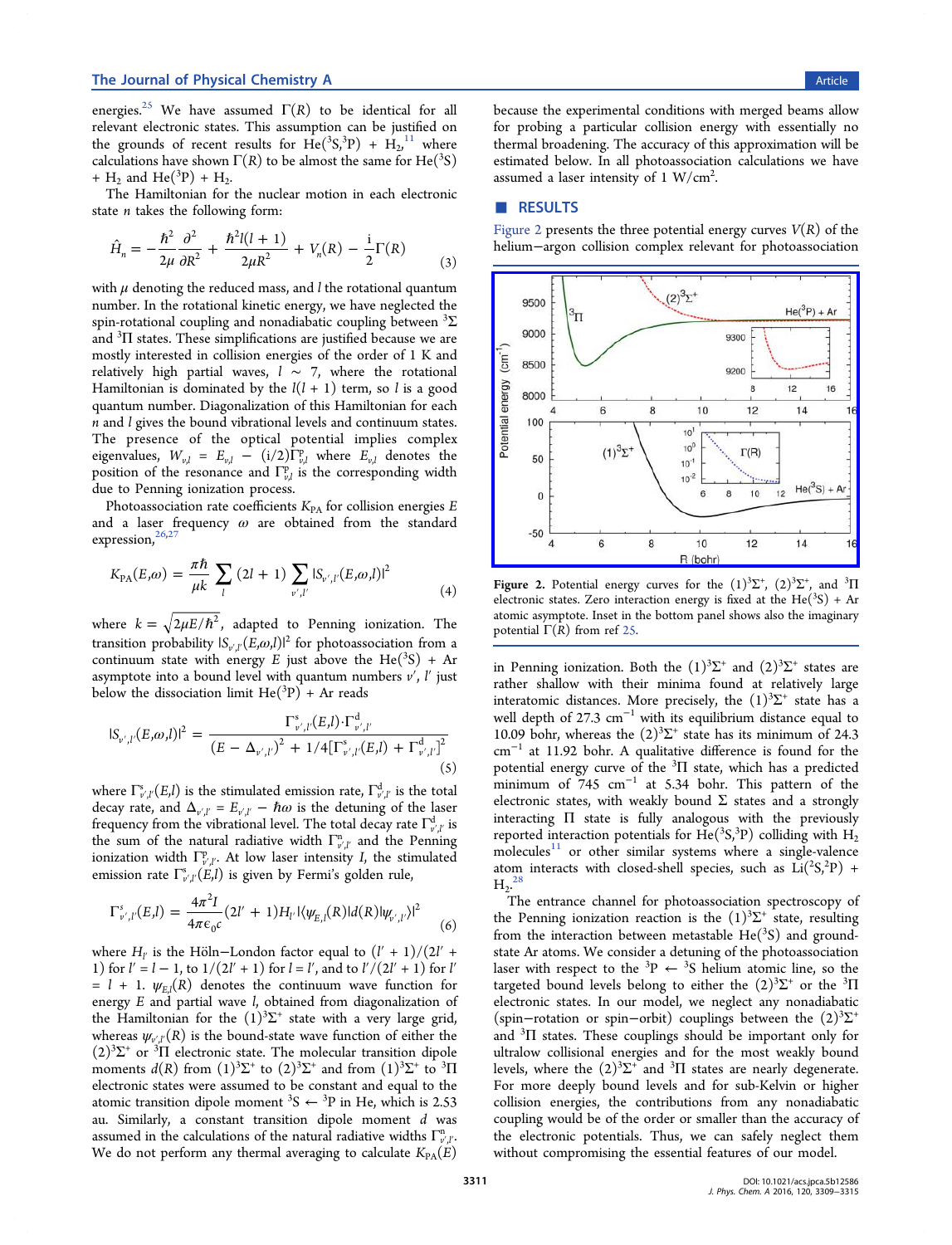energies.<sup>25</sup> We have assumed  $\Gamma(R)$  to be identical for all relevant electronic states. This assumption can be justified on the gro[und](#page-6-0)s of recent results for  $\text{He}({}^3S, {}^3P) + \text{H}_2, {}^{11}$  where calculations have shown  $\Gamma(R)$  to be almost the same for He(<sup>3</sup>S) +  $H_2$  and  $He(^3P) + H_2$ .

The Hamiltonian for the nuclear motion in each electronic state  $n$  takes the following form:

$$
\hat{H}_n = -\frac{\hbar^2}{2\mu} \frac{\partial^2}{\partial R^2} + \frac{\hbar^2 l(l+1)}{2\mu R^2} + V_n(R) - \frac{i}{2} \Gamma(R) \tag{3}
$$

with  $\mu$  denoting the reduced mass, and  $l$  the rotational quantum number. In the rotational kinetic energy, we have neglected the spin-rotational coupling and nonadiabatic coupling between  $^3\Sigma$ and <sup>3</sup>II states. These simplifications are justified because we are mostly interested in collision energies of the order of 1 K and relatively high partial waves,  $l \sim 7$ , where the rotational Hamiltonian is dominated by the  $l(l + 1)$  term, so l is a good quantum number. Diagonalization of this Hamiltonian for each n and l gives the bound vibrational levels and continuum states. The presence of the optical potential implies complex eigenvalues,  $W_{v,l} = E_{v,l} - (i/2) \Gamma_{v,l}^{p}$  where  $E_{v,l}$  denotes the position of the resonance and  $\Gamma^{\text{p}}_{\nu,l}$  is the corresponding width due to Penning ionization process.

Photoassociation rate coefficients  $K_{PA}$  for collision energies  $E$ and a laser frequency  $\omega$  are obtained from the standard expression,<sup>26,27</sup>

$$
K_{\text{PA}}(E,\omega) = \frac{\pi \hbar}{\mu k} \sum_{l} (2l+1) \sum_{v',l'} |S_{v',l'}(E,\omega,l)|^2
$$
 (4)

where  $k = \sqrt{2\mu E/\hbar^2}$ , adapted to Penning ionization. The transition probability  $|S_{v',l'}(\bar{E},\omega,l)|^2$  for photoassociation from a continuum state with energy E just above the He( ${}^{3}S$ ) + Ar asymptote into a bound level with quantum numbers  $v'$ ,  $l'$  just below the dissociation limit  $\text{He}(^{3}P) +$  Ar reads

$$
|S_{\nu',l'}(E,\omega,l)|^2 = \frac{\Gamma_{\nu',l'}^s(E,l) \cdot \Gamma_{\nu',l'}^d}{(E - \Delta_{\nu',l'})^2 + 1/4[\Gamma_{\nu',l'}^s(E,l) + \Gamma_{\nu',l'}^d]^2}
$$
(5)

where  $\Gamma_{\nu',\ell'}^s(E,l)$  is the stimulated emission rate,  $\Gamma_{\nu',\ell'}^d$  is the total decay rate, and  $\Delta_{\nu,\mu'} = E_{\nu',\mu'} - \hbar\omega$  is the detuning of the laser frequency from the vibrational level. The total decay rate  $\Gamma_{v'l'}^d$  is the sum of the natural radiative width  $\Gamma_{\nu'\!\!/\!\!i'}^n$  and the Penning ionization width  $\Gamma^{\text{p}}_{v',l'}$ . At low laser intensity I, the stimulated emission rate  $\Gamma_{v',l'}^s(E,l)$  is given by Fermi's golden rule,

$$
\Gamma_{\nu',l'}^{s}(E,l) = \frac{4\pi^2 I}{4\pi\epsilon_0 c} (2l' + 1) H_{l'} |\langle \psi_{E,l}(R)| d(R) |\psi_{\nu',l'} \rangle|^2
$$
 (6)

where  $H_{l'}$  is the Höln–London factor equal to  $(l' + 1)/(2l' + 1)$ 1) for  $l' = l - 1$ , to  $1/(2l' + 1)$  for  $l = l'$ , and to  $l'/(2l' + 1)$  for  $l'$  $=$   $l + 1$ .  $\psi_{E,l}(R)$  denotes the continuum wave function for energy  $E$  and partial wave  $l$ , obtained from diagonalization of the Hamiltonian for the  $(1)^3\Sigma^+$  state with a very large grid, whereas  $\psi_{\nu,\ell'}(R)$  is the bound-state wave function of either the  $(2)^3\Sigma^+$  or <sup>3</sup> $\Pi$  electronic state. The molecular transition dipole moments  $d(R)$  from  $(1)^3\Sigma^+$  to  $(2)^3\Sigma^+$  and from  $(1)^3\Sigma^+$  to  $\overline{3}\Pi$ electronic states were assumed to be constant and equal to the atomic transition dipole moment <sup>3</sup>S  $\leftarrow$  <sup>3</sup>P in He, which is 2.53 au. Similarly, a constant transition dipole moment  $d$  was assumed in the calculations of the natural radiative widths  $\Gamma_{v'l'}^n$ . We do not perform any thermal averaging to calculate  $K_{PA}(E)$ 

because the experimental conditions with merged beams allow for probing a particular collision energy with essentially no thermal broadening. The accuracy of this approximation will be estimated below. In all photoassociation calculations we have assumed a laser intensity of 1  $W/cm<sup>2</sup>$ . .

## ■ RESULTS

Figure 2 presents the three potential energy curves  $V(R)$  of the helium−argon collision complex relevant for photoassociation



Figure 2. Potential energy curves for the  $(1)^3\Sigma^+$ ,  $(2)^3\Sigma^+$ , and  $^3\Pi$ electronic states. Zero interaction energy is fixed at the  $He(^{3}S) + Ar$ atomic asymptote. Inset in the bottom panel shows also the imaginary potential  $\Gamma(R)$  from ref 25.

in Penning ionization[. B](#page-6-0)oth the  $(1)^3\Sigma^+$  and  $(2)^3\Sigma^+$  states are rather shallow with their minima found at relatively large interatomic distances. More precisely, the  $(1)^3\Sigma^+$  state has a well depth of 27.3  $cm^{-1}$  with its equilibrium distance equal to 10.09 bohr, whereas the  $(2)^3\Sigma^+$  state has its minimum of 24.3 cm<sup>−</sup><sup>1</sup> at 11.92 bohr. A qualitative difference is found for the potential energy curve of the  $^3\Pi$  state, which has a predicted minimum of 745 cm<sup>-1</sup> at 5.34 bohr. This pattern of the electronic states, with weakly bound  $\Sigma$  states and a strongly interacting Π state is fully analogous with the previously reported interaction potentials for  $\text{He}({}^3\text{S}, {}^3\text{P})$  colliding with  $\text{H}_2$ molecules $11$  or other similar systems where a single-valence atom interacts with closed-shell species, such as  $Li(^{2}S,^{2}P)$  +  $H_2$ <sup>28</sup>

The entrance channel for photoassociation spectroscopy of the [P](#page-6-0)enning ionization reaction is the  $(1)^3\Sigma^+$  state, resulting from the interaction between metastable  $He(^3S)$  and groundstate Ar atoms. We consider a detuning of the photoassociation laser with respect to the <sup>3</sup>P  $\leftarrow$  <sup>3</sup>S helium atomic line, so the targeted bound levels belong to either the  $(2)^3\Sigma^+$  or the  $^3\Pi$ electronic states. In our model, we neglect any nonadiabatic (spin−rotation or spin−orbit) couplings between the (2)<sup>3</sup> Σ+ and <sup>3</sup>II states. These couplings should be important only for ultralow collisional energies and for the most weakly bound levels, where the  $(2)^3\Sigma^+$  and  $^3\Pi$  states are nearly degenerate. For more deeply bound levels and for sub-Kelvin or higher collision energies, the contributions from any nonadiabatic coupling would be of the order or smaller than the accuracy of the electronic potentials. Thus, we can safely neglect them without compromising the essential features of our model.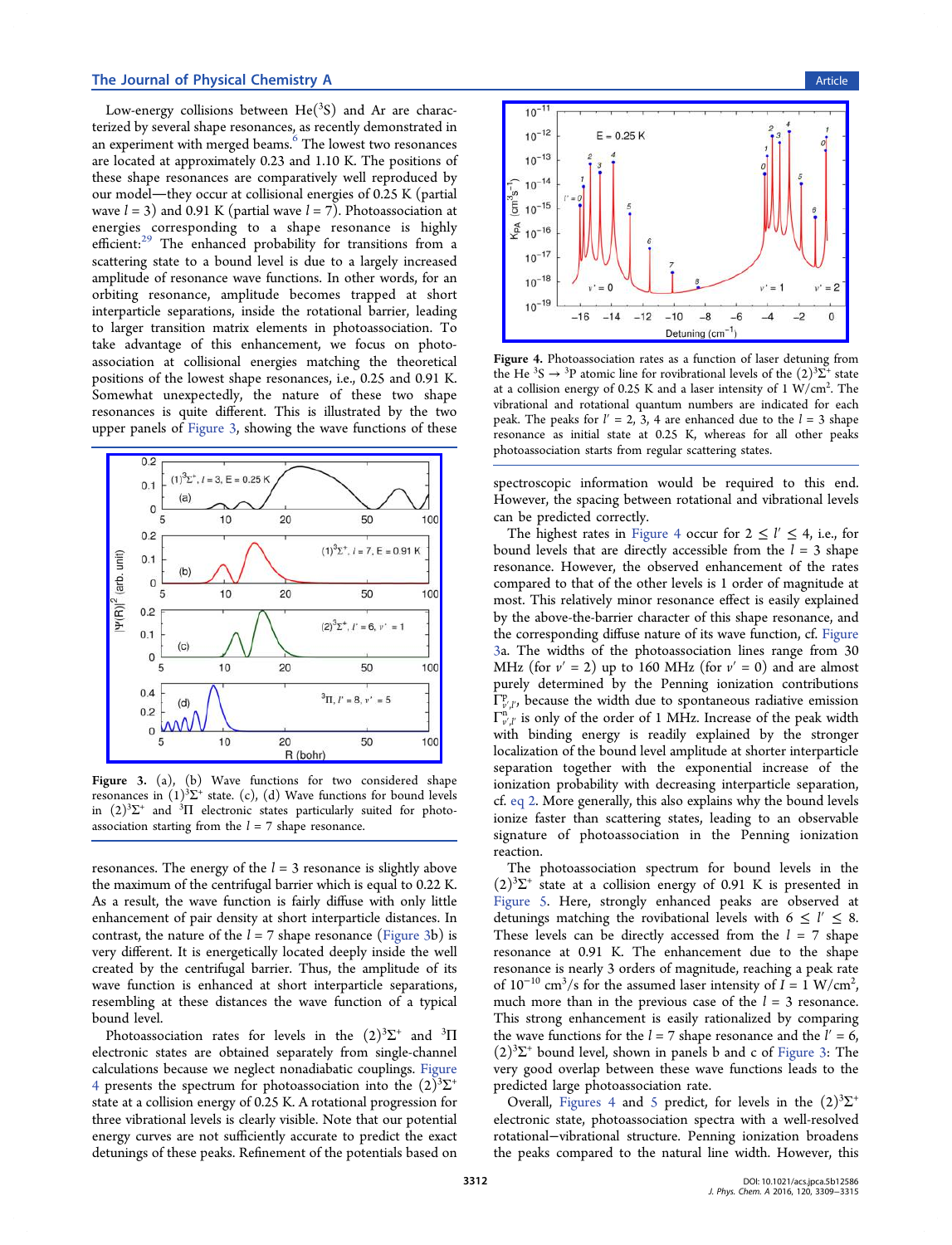Low-energy collisions between  $\text{He}({}^{3}S)$  and Ar are characterized by several shape resonances, as recently demonstrated in an experiment with merged beams.<sup>6</sup> The lowest two resonances are located at approximately 0.23 and 1.10 K. The positions of these shape resonances are comp[ar](#page-5-0)atively well reproduced by our model—they occur at collisional energies of  $0.25 \text{ K}$  (partial wave  $l = 3$ ) and 0.91 K (partial wave  $l = 7$ ). Photoassociation at energies corresponding to a shape resonance is highly efficient:<sup>29</sup> The enhanced probability for transitions from a scattering state to a bound level is due to a largely increased amplitu[de](#page-6-0) of resonance wave functions. In other words, for an orbiting resonance, amplitude becomes trapped at short interparticle separations, inside the rotational barrier, leading to larger transition matrix elements in photoassociation. To take advantage of this enhancement, we focus on photoassociation at collisional energies matching the theoretical positions of the lowest shape resonances, i.e., 0.25 and 0.91 K. Somewhat unexpectedly, the nature of these two shape resonances is quite different. This is illustrated by the two upper panels of Figure 3, showing the wave functions of these



Figure 3. [\(a\), \(b\) Wave functions for two considered sh](http://pubsdc3.acs.org/action/showImage?doi=10.1021/acs.jpca.5b12586&iName=master.img-003.jpg&w=215&h=198)ape resonances in  $(1)^3\Sigma^+$  state. (c), (d) Wave functions for bound levels in  $(2)^3\Sigma^+$  and  $^3\Pi$  electronic states particularly suited for photoassociation starting from the  $l = 7$  shape resonance.

resonances. The energy of the  $l = 3$  resonance is slightly above the maximum of the centrifugal barrier which is equal to 0.22 K. As a result, the wave function is fairly diffuse with only little enhancement of pair density at short interparticle distances. In contrast, the nature of the  $l = 7$  shape resonance (Figure 3b) is very different. It is energetically located deeply inside the well created by the centrifugal barrier. Thus, the amplitude of its wave function is enhanced at short interparticle separations, resembling at these distances the wave function of a typical bound level.

Photoassociation rates for levels in the  $(2)^3\Sigma^+$  and  $^3\Pi$ electronic states are obtained separately from single-channel calculations because we neglect nonadiabatic couplings. Figure 4 presents the spectrum for photoassociation into the  $(2)^3\Sigma^+$ state at a collision energy of 0.25 K. A rotational progression for three vibrational levels is clearly visible. Note that our potential energy curves are not sufficiently accurate to predict the exact detunings of these peaks. Refinement of the potentials based on



Figure 4. [Photoassociation rates as a function of laser detuning fro](http://pubsdc3.acs.org/action/showImage?doi=10.1021/acs.jpca.5b12586&iName=master.img-004.jpg&w=222&h=153)m the He <sup>3</sup>S  $\rightarrow$  <sup>3</sup>P atomic line for rovibrational levels of the  $(2)^3\Sigma^+$  state at a collision energy of 0.25 K and a laser intensity of 1 W/cm<sup>2</sup>. The vibrational and rotational quantum numbers are indicated for each peak. The peaks for  $l' = 2$ , 3, 4 are enhanced due to the  $l = 3$  shape resonance as initial state at 0.25 K, whereas for all other peaks photoassociation starts from regular scattering states.

spectroscopic information would be required to this end. However, the spacing between rotational and vibrational levels can be predicted correctly.

The highest rates in Figure 4 occur for  $2 \le l' \le 4$ , i.e., for bound levels that are directly accessible from the  $l = 3$  shape resonance. However, the observed enhancement of the rates compared to that of the other levels is 1 order of magnitude at most. This relatively minor resonance effect is easily explained by the above-the-barrier character of this shape resonance, and the corresponding diffuse nature of its wave function, cf. Figure 3a. The widths of the photoassociation lines range from 30 MHz (for  $v' = 2$ ) up to 160 MHz (for  $v' = 0$ ) and are almost purely determined by the Penning ionization contributions  $\Gamma^{\mathfrak{p}}_{v'l'}$ , because the width due to spontaneous radiative emission  $\Gamma_{v'l'}^n$  is only of the order of 1 MHz. Increase of the peak width with binding energy is readily explained by the stronger localization of the bound level amplitude at shorter interparticle separation together with the exponential increase of the ionization probability with decreasing interparticle separation, cf. eq 2. More generally, this also explains why the bound levels ionize faster than scattering states, leading to an observable sig[natu](#page-1-0)re of photoassociation in the Penning ionization reaction.

The photoassociation spectrum for bound levels in the  $(2)^3\Sigma^+$  state at a collision energy of 0.91 K is presented in Figure 5. Here, strongly enhanced peaks are observed at detunings matching the rovibational levels with  $6 \leq l' \leq 8$ . [These lev](#page-4-0)els can be directly accessed from the  $l = 7$  shape resonance at 0.91 K. The enhancement due to the shape resonance is nearly 3 orders of magnitude, reaching a peak rate of  $10^{-10}$  cm<sup>3</sup>/s for the assumed laser intensity of  $I = 1$  W/cm<sup>2</sup> , much more than in the previous case of the  $l = 3$  resonance. This strong enhancement is easily rationalized by comparing the wave functions for the  $l = 7$  shape resonance and the  $l' = 6$ ,  $(2)^3\Sigma^+$  bound level, shown in panels b and c of Figure 3: The very good overlap between these wave functions leads to the predicted large photoassociation rate.

Overall, Figures 4 and 5 predict, for levels in the  $(2)^3\Sigma^+$ electronic state, photoassociation spectra with a well-resolved rotational−vibrational stru[ct](#page-4-0)ure. Penning ionization broadens the peaks compared to the natural line width. However, this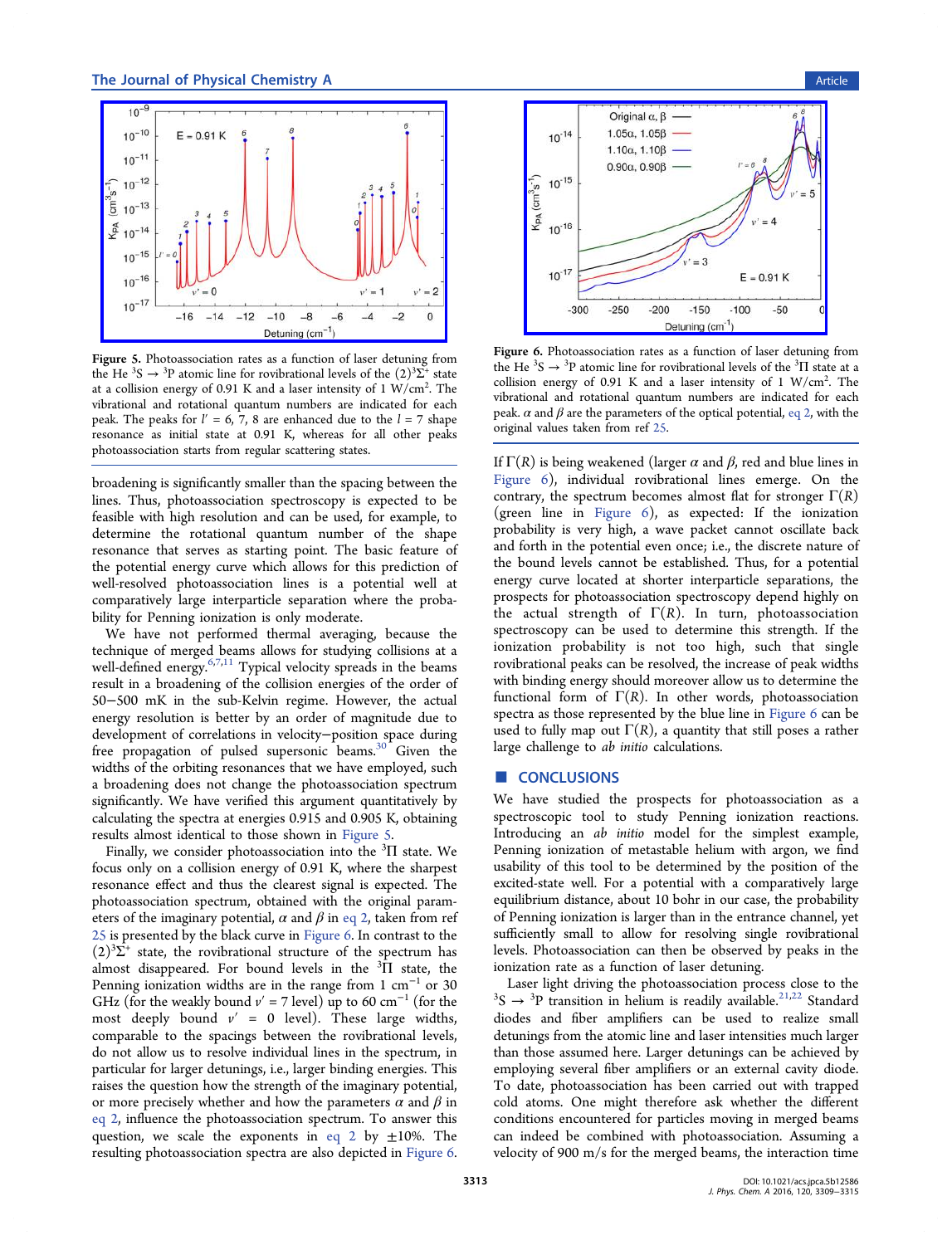<span id="page-4-0"></span>

Figure 5. [Photoassociation rates as a function of laser detuning fro](http://pubsdc3.acs.org/action/showImage?doi=10.1021/acs.jpca.5b12586&iName=master.img-005.jpg&w=222&h=153)m the He <sup>3</sup>S  $\rightarrow$  <sup>3</sup>P atomic line for rovibrational levels of the  $(2)^3\Sigma^+$  state at a collision energy of 0.91 K and a laser intensity of 1 W/cm<sup>2</sup>. The vibrational and rotational quantum numbers are indicated for each peak. The peaks for  $l' = 6, 7, 8$  are enhanced due to the  $l = 7$  shape resonance as initial state at 0.91 K, whereas for all other peaks photoassociation starts from regular scattering states.

broadening is significantly smaller than the spacing between the lines. Thus, photoassociation spectroscopy is expected to be feasible with high resolution and can be used, for example, to determine the rotational quantum number of the shape resonance that serves as starting point. The basic feature of the potential energy curve which allows for this prediction of well-resolved photoassociation lines is a potential well at comparatively large interparticle separation where the probability for Penning ionization is only moderate.

We have not performed thermal averaging, because the technique of merged beams allows for studying collisions at a well-defined energy.<sup>6,7,11</sup> Typical velocity spreads in the beams result in a broadening of the collision energies of the order of 50−500 mK in th[e sub](#page-5-0)-Kelvin regime. However, the actual energy resolution is better by an order of magnitude due to development of correlations in velocity−position space during free propagation of pulsed supersonic beams.<sup>30</sup> Given the widths of the orbiting resonances that we have employed, such a broadening does not change the photoassocia[tio](#page-6-0)n spectrum significantly. We have verified this argument quantitatively by calculating the spectra at energies 0.915 and 0.905 K, obtaining results almost identical to those shown in Figure 5.

Finally, we consider photoassociation into the  ${}^{3}\Pi$  state. We focus only on a collision energy of 0.91 K, where the sharpest resonance effect and thus the clearest signal is expected. The photoassociation spectrum, obtained with the original parameters of the imaginary potential,  $\alpha$  and  $\beta$  in eq 2, taken from ref 25 is presented by the black curve in Figure 6. In contrast to the  $(2)^3\Sigma^+$  state, the rovibrational structure [of the](#page-1-0) spectrum has [alm](#page-6-0)ost disappeared. For bound levels in the  $\overline{{}^3\Pi}$  state, the Penning ionization widths are in the range from 1 cm<sup>-1</sup> or 30 GHz (for the weakly bound  $v' = 7$  level) up to 60 cm<sup>-1</sup> (for the most deeply bound  $v' = 0$  level). These large widths, comparable to the spacings between the rovibrational levels, do not allow us to resolve individual lines in the spectrum, in particular for larger detunings, i.e., larger binding energies. This raises the question how the strength of the imaginary potential, or more precisely whether and how the parameters  $\alpha$  and  $\beta$  in eq 2, influence the photoassociation spectrum. To answer this question, we scale the exponents in eq 2 by  $\pm 10\%$ . The [resul](#page-1-0)ting photoassociation spectra are also depicted in Figure 6.





Figure 6. [Photoassociation rates as a function of laser detunin](http://pubsdc3.acs.org/action/showImage?doi=10.1021/acs.jpca.5b12586&iName=master.img-006.jpg&w=194&h=148)g from the He  ${}^{3}S \rightarrow {}^{3}P$  atomic line for rovibrational levels of the  ${}^{3}\Pi$  state at a collision energy of 0.91 K and a laser intensity of  $1 \text{ W/cm}^2$ . The vibrational and rotational quantum numbers are indicated for each peak.  $\alpha$  and  $\beta$  are the parameters of the optical potential, eq 2, with the original values taken from ref 25.

If  $\Gamma(R)$  is being weakened [\(lar](#page-6-0)ger  $\alpha$  and  $\beta$ , red and [blue](#page-1-0) lines in Figure 6), individual rovibrational lines emerge. On the contrary, the spectrum becomes almost flat for stronger  $\Gamma(R)$ (green line in Figure 6), as expected: If the ionization probability is very high, a wave packet cannot oscillate back and forth in the potential even once; i.e., the discrete nature of the bound levels cannot be established. Thus, for a potential energy curve located at shorter interparticle separations, the prospects for photoassociation spectroscopy depend highly on the actual strength of  $\Gamma(R)$ . In turn, photoassociation spectroscopy can be used to determine this strength. If the ionization probability is not too high, such that single rovibrational peaks can be resolved, the increase of peak widths with binding energy should moreover allow us to determine the functional form of  $\Gamma(R)$ . In other words, photoassociation spectra as those represented by the blue line in Figure 6 can be used to fully map out  $\Gamma(R)$ , a quantity that still poses a rather large challenge to ab initio calculations.

## ■ **CONCLUSIONS**

We have studied the prospects for photoassociation as a spectroscopic tool to study Penning ionization reactions. Introducing an ab initio model for the simplest example, Penning ionization of metastable helium with argon, we find usability of this tool to be determined by the position of the excited-state well. For a potential with a comparatively large equilibrium distance, about 10 bohr in our case, the probability of Penning ionization is larger than in the entrance channel, yet sufficiently small to allow for resolving single rovibrational levels. Photoassociation can then be observed by peaks in the ionization rate as a function of laser detuning.

Laser light driving the photoassociation process close to the  $S \rightarrow$ <sup>3</sup>P transition in helium is readily available.<sup>21,22</sup> Standard diodes and fiber amplifiers can be used to realize small detunings from the atomic line and laser intensiti[es m](#page-5-0)uch larger than those assumed here. Larger detunings can be achieved by employing several fiber amplifiers or an external cavity diode. To date, photoassociation has been carried out with trapped cold atoms. One might therefore ask whether the different conditions encountered for particles moving in merged beams can indeed be combined with photoassociation. Assuming a velocity of 900 m/s for the merged beams, the interaction time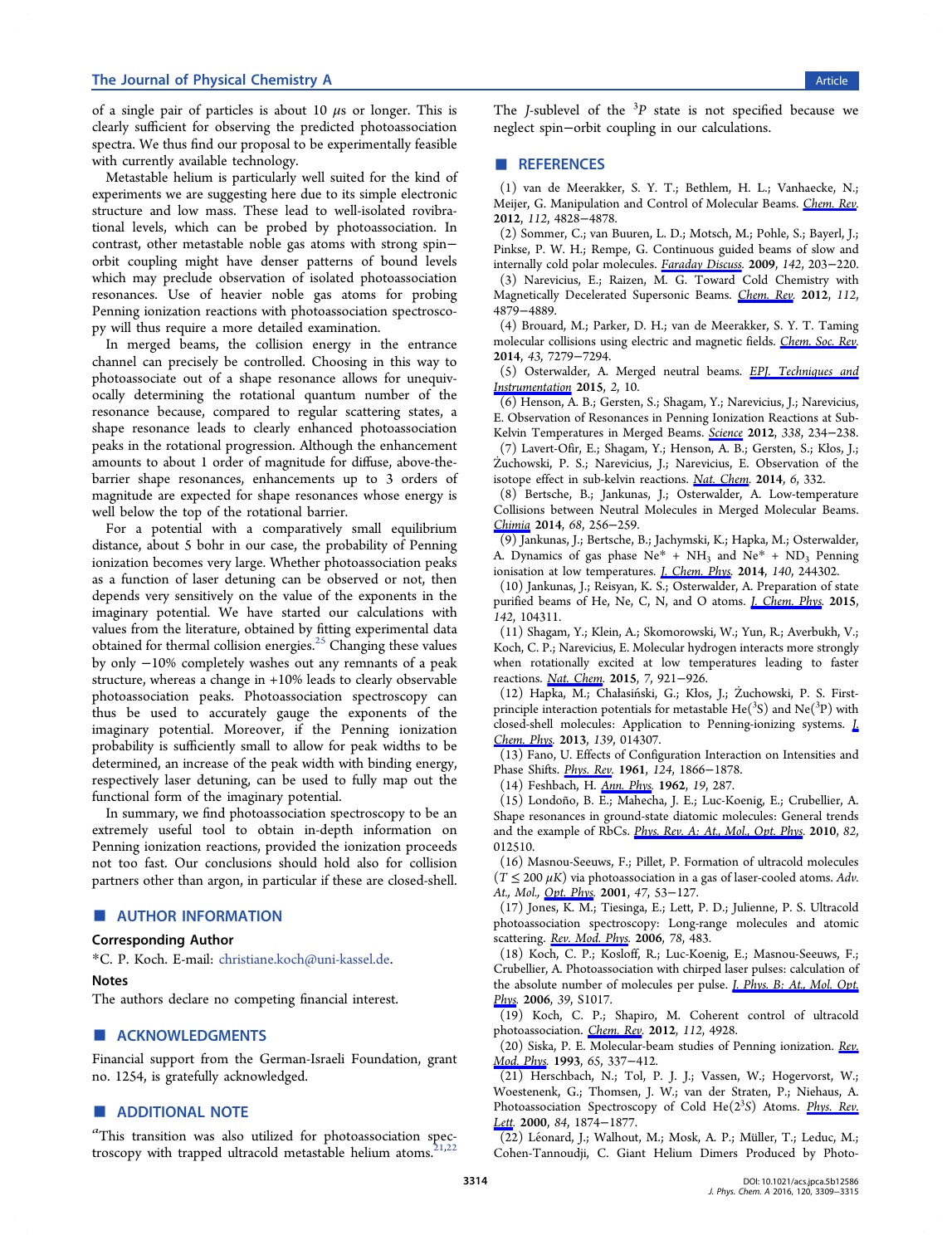<span id="page-5-0"></span>of a single pair of particles is about 10  $\mu$ s or longer. This is clearly sufficient for observing the predicted photoassociation spectra. We thus find our proposal to be experimentally feasible with currently available technology.

Metastable helium is particularly well suited for the kind of experiments we are suggesting here due to its simple electronic structure and low mass. These lead to well-isolated rovibrational levels, which can be probed by photoassociation. In contrast, other metastable noble gas atoms with strong spin− orbit coupling might have denser patterns of bound levels which may preclude observation of isolated photoassociation resonances. Use of heavier noble gas atoms for probing Penning ionization reactions with photoassociation spectroscopy will thus require a more detailed examination.

In merged beams, the collision energy in the entrance channel can precisely be controlled. Choosing in this way to photoassociate out of a shape resonance allows for unequivocally determining the rotational quantum number of the resonance because, compared to regular scattering states, a shape resonance leads to clearly enhanced photoassociation peaks in the rotational progression. Although the enhancement amounts to about 1 order of magnitude for diffuse, above-thebarrier shape resonances, enhancements up to 3 orders of magnitude are expected for shape resonances whose energy is well below the top of the rotational barrier.

For a potential with a comparatively small equilibrium distance, about 5 bohr in our case, the probability of Penning ionization becomes very large. Whether photoassociation peaks as a function of laser detuning can be observed or not, then depends very sensitively on the value of the exponents in the imaginary potential. We have started our calculations with values from the literature, obtained by fitting experimental data obtained for thermal collision energies. $^{25}$  Changing these values by only −10% completely washes out any remnants of a peak structure, whereas a change in +10% l[ead](#page-6-0)s to clearly observable photoassociation peaks. Photoassociation spectroscopy can thus be used to accurately gauge the exponents of the imaginary potential. Moreover, if the Penning ionization probability is sufficiently small to allow for peak widths to be determined, an increase of the peak width with binding energy, respectively laser detuning, can be used to fully map out the functional form of the imaginary potential.

In summary, we find photoassociation spectroscopy to be an extremely useful tool to obtain in-depth information on Penning ionization reactions, provided the ionization proceeds not too fast. Our conclusions should hold also for collision partners other than argon, in particular if these are closed-shell.

## ■ AUTHOR INFORMATION

#### Corresponding Author

\*C. P. Koch. E-mail: christiane.koch@uni-kassel.de.

#### Notes

The authors declare no competing fi[nancial interes](mailto:christiane.koch@uni-kassel.de)t.

## ■ ACKNOWLEDGMENTS

Financial support from the German-Israeli Foundation, grant no. 1254, is gratefully acknowledged.

#### ■ ADDITIONAL NOTE

a This transition was also utilized for photoassociation spectroscopy with trapped ultracold metastable helium atoms.<sup>21,22</sup>

The *J*-sublevel of the  $3p$  state is not specified because we neglect spin−orbit coupling in our calculations.

## ■ REFERENCES

(1) van de Meerakker, S. Y. T.; Bethlem, H. L.; Vanhaecke, N.; Meijer, G. Manipulation and Control of Molecular Beams. Chem. Rev. 2012, 112, 4828−4878.

(2) Sommer, C.; van Buuren, L. D.; Motsch, M.; Pohle, S.; Bayerl, J.; Pinkse, P. W. H.; Rempe, G. Continuous guided beams o[f](http://pubs.acs.org/action/showLinks?system=10.1021%2Fcr200349r&pmid=22449067&coi=1%3ACAS%3A528%3ADC%252BC38XksFWnurY%253D) [slow](http://pubs.acs.org/action/showLinks?system=10.1021%2Fcr200349r&pmid=22449067&coi=1%3ACAS%3A528%3ADC%252BC38XksFWnurY%253D) [and](http://pubs.acs.org/action/showLinks?system=10.1021%2Fcr200349r&pmid=22449067&coi=1%3ACAS%3A528%3ADC%252BC38XksFWnurY%253D) internally cold polar molecules. Faraday Discuss. 2009, 142, 203−220. (3) Narevicius, E.; Raizen, M. G. Toward Cold Chemistry with Magnetically Decelerated Supe[rsonic Beams.](http://pubs.acs.org/action/showLinks?pmid=20151546&crossref=10.1039%2Fb819726a&coi=1%3ACAS%3A528%3ADC%252BD1MXps1Onsrw%253D) Chem. Rev. 2012, 112, 4879−4889.

(4) Brouard, M.; Parker, D. H.; van de Mee[rakker, S. Y](http://pubs.acs.org/action/showLinks?system=10.1021%2Fcr2004597&pmid=22827566&coi=1%3ACAS%3A528%3ADC%252BC38XhtVynsLvJ). T. Taming molecular collisions using electric and magnetic fields. Chem. Soc. Rev. 2014, 43, 7279−7294.

(5) Osterwalder, A. Merged neutral beams. EPJ. [Techniques and](http://pubs.acs.org/action/showLinks?pmid=25115818&crossref=10.1039%2FC4CS00150H&coi=1%3ACAS%3A528%3ADC%252BC2cXhtlCit7fK) Instrumentation 2015, 2, 10.

(6) Henson, A. B.; Gersten, S.; Shagam, Y.; Narevicius, J.; Narevicius, E. Observation of Resonances in Penning Ionizat[ion](http://pubs.acs.org/action/showLinks?crossref=10.1140%2Fepjti%2Fs40485-015-0022-x) [Reactions](http://pubs.acs.org/action/showLinks?crossref=10.1140%2Fepjti%2Fs40485-015-0022-x) [at](http://pubs.acs.org/action/showLinks?crossref=10.1140%2Fepjti%2Fs40485-015-0022-x) [Sub-](http://pubs.acs.org/action/showLinks?crossref=10.1140%2Fepjti%2Fs40485-015-0022-x)[Kelvin](http://pubs.acs.org/action/showLinks?crossref=10.1140%2Fepjti%2Fs40485-015-0022-x) [Temper](http://pubs.acs.org/action/showLinks?crossref=10.1140%2Fepjti%2Fs40485-015-0022-x)atures in Merged Beams. Science 2012, 338, 234−238.

(7) Lavert-Ofir, E.; Shagam, Y.; Henson, A. B.; Gersten, S.; Kłos, J.; Ż uchowski, P. S.; Narevicius, J.; Narevicius, E. Observation of the isotope effect in sub-kelvin reactions. N[at.](http://pubs.acs.org/action/showLinks?pmid=23066076&crossref=10.1126%2Fscience.1229141&coi=1%3ACAS%3A528%3ADC%252BC38XhsVKrtrzM) [Chem](http://pubs.acs.org/action/showLinks?pmid=23066076&crossref=10.1126%2Fscience.1229141&coi=1%3ACAS%3A528%3ADC%252BC38XhsVKrtrzM). 2014, 6, 332.

(8) Bertsche, B.; Jankunas, J.; Osterwalder, A. Low-temperature Collisions between Neutral Molecule[s in Merge](http://pubs.acs.org/action/showLinks?pmid=24651201&crossref=10.1038%2Fnchem.1857&coi=1%3ACAS%3A528%3ADC%252BC2cXhs1Sjtrg%253D)d Molecular Beams. Chimia 2014, 68, 256-259.

(9) Jankunas, J.; Bertsche, B.; Jachymski, K.; Hapka, M.; Osterwalder, A. Dynamics of gas phase  $Ne^* + NH_3$  and  $Ne^* + ND_3$  Penning [ionisatio](http://pubs.acs.org/action/showLinks?pmid=24983610&crossref=10.2533%2Fchimia.2014.256&coi=1%3ACAS%3A528%3ADC%252BC2cXovVemtbc%253D)n at low temperatures. *J. Chem. Phys.* 2014, 140, 244302.

(10) Jankunas, J.; Reisyan, K. S.; Osterwalder, A. Preparation of state purified beams of He, Ne, C, [N, and O atom](http://pubs.acs.org/action/showLinks?pmid=24985633&crossref=10.1063%2F1.4883517&coi=1%3ACAS%3A528%3ADC%252BC2cXhtVGgu7jE)s. *J. Chem. Phys.* 2015, 142, 104311.

(11) Shagam, Y.; Klein, A.; Skomorowski, W.; Yun, R.; Averbukh, V.; Koch, C. P.; Narevicius, E. Molecular hydrogen in[teracts](http://pubs.acs.org/action/showLinks?pmid=25770544&crossref=10.1063%2F1.4914332&coi=1%3ACAS%3A528%3ADC%252BC2MXksVahtr0%253D) [more](http://pubs.acs.org/action/showLinks?pmid=25770544&crossref=10.1063%2F1.4914332&coi=1%3ACAS%3A528%3ADC%252BC2MXksVahtr0%253D) [s](http://pubs.acs.org/action/showLinks?pmid=25770544&crossref=10.1063%2F1.4914332&coi=1%3ACAS%3A528%3ADC%252BC2MXksVahtr0%253D)trongly when rotationally excited at low temperatures leading to faster reactions. Nat. Chem. 2015, 7, 921−926.

(12) Hapka, M.; Chałasiński, G.; Kłos, J.; Ż uchowski, P. S. Firstprinciple interaction potentials for metastable  $\text{He}(^{3}\text{S})$  and  $\text{Ne}(^{3}\text{P})$  with closed-she[ll](http://pubs.acs.org/action/showLinks?pmid=26492013&crossref=10.1038%2Fnchem.2359&coi=1%3ACAS%3A528%3ADC%252BC2MXhs1Skt7%252FN) [molecule](http://pubs.acs.org/action/showLinks?pmid=26492013&crossref=10.1038%2Fnchem.2359&coi=1%3ACAS%3A528%3ADC%252BC2MXhs1Skt7%252FN)s: Application to Penning-ionizing systems. J. Chem. Phys. 2013, 139, 014307.

(13) Fano, U. Effects of Configuration Interaction on Intensities a[nd](http://pubs.acs.org/action/showLinks?crossref=10.1063%2F1.4812182&coi=1%3ACAS%3A528%3ADC%252BC3sXhtVehtLvP) Phase Shifts. *Phys. Rev.* 1961, 124, 1866–1878.

[\(14\) Fesh](http://pubs.acs.org/action/showLinks?crossref=10.1063%2F1.4812182&coi=1%3ACAS%3A528%3ADC%252BC3sXhtVehtLvP)bach, H. Ann. Phys. 1962, 19, 287.

(15) Londoñ o, B. E.; Mahecha, J. E.; Luc-Koenig, E.; Crubellier, A. Shape resona[nces](http://pubs.acs.org/action/showLinks?crossref=10.1103%2FPhysRev.124.1866&coi=1%3ACAS%3A528%3ADyaF38XivFahtw%253D%253D) [in](http://pubs.acs.org/action/showLinks?crossref=10.1103%2FPhysRev.124.1866&coi=1%3ACAS%3A528%3ADyaF38XivFahtw%253D%253D)[g](http://pubs.acs.org/action/showLinks?crossref=10.1103%2FPhysRev.124.1866&coi=1%3ACAS%3A528%3ADyaF38XivFahtw%253D%253D)[round-st](http://pubs.acs.org/action/showLinks?crossref=10.1016%2F0003-4916%2862%2990221-X&coi=1%3ACAS%3A528%3ADyaF38XkvVSrsL4%253D)ate diatomic molecules: General trends and the example of RbCs. *Phys. Rev. A: At., Mol., Opt. Phys.* 2010, 82, 012510.

(16) Masnou-Seeuws, F.; Pillet, P. Formation of ultracold molecules  $(T \le 200 \,\mu K)$  via photoass[ociation](http://pubs.acs.org/action/showLinks?crossref=10.1103%2FPhysRevA.82.012510) [in](http://pubs.acs.org/action/showLinks?crossref=10.1103%2FPhysRevA.82.012510) [a](http://pubs.acs.org/action/showLinks?crossref=10.1103%2FPhysRevA.82.012510) [gas](http://pubs.acs.org/action/showLinks?crossref=10.1103%2FPhysRevA.82.012510) [of](http://pubs.acs.org/action/showLinks?crossref=10.1103%2FPhysRevA.82.012510) [laser-cooled](http://pubs.acs.org/action/showLinks?crossref=10.1103%2FPhysRevA.82.012510) atoms. Adv. At., Mol., Opt. Phys. 2001, 47, 53-127.

(17) Jones, K. M.; Tiesinga, E.; Lett, P. D.; Julienne, P. S. Ultracold photoassociation spectroscopy: Long-range molecules and atomic scattering. [Rev.](http://pubs.acs.org/action/showLinks?coi=1%3ACAS%3A528%3ADC%252BD38XitV2nsLo%253D) [Mod](http://pubs.acs.org/action/showLinks?coi=1%3ACAS%3A528%3ADC%252BD38XitV2nsLo%253D). Phys. 2006, 78, 483.

(18) Koch, C. P.; Kosloff, R.; Luc-Koenig, E.; Masnou-Seeuws, F.; Crubellier, [A. Photoassocia](http://pubs.acs.org/action/showLinks?crossref=10.1103%2FRevModPhys.78.483&coi=1%3ACAS%3A528%3ADC%252BD28XoslKgurg%253D)tion with chirped laser pulses: calculation of the absolute number of molecules per pulse. *J. Phys. B: At., Mol. Opt.* Phys. 2006, 39, S1017.

(19) Koch, C. P.; Shapiro, M. Cohere[nt control of ultracold](http://pubs.acs.org/action/showLinks?crossref=10.1088%2F0953-4075%2F39%2F19%2FS15&coi=1%3ACAS%3A528%3ADC%252BD28XhtF2rsrjP) [phot](http://pubs.acs.org/action/showLinks?crossref=10.1088%2F0953-4075%2F39%2F19%2FS15&coi=1%3ACAS%3A528%3ADC%252BD28XhtF2rsrjP)oassociation. Chem. Rev. 2012, 112, 4928.

(20) Siska, P. E. Molecular-beam studies of Penning ionization. Rev. Mod. Phys. 1993, 65, 337−412.

(21) Herschbac[h,](http://pubs.acs.org/action/showLinks?system=10.1021%2Fcr2003882&pmid=22489790&coi=1%3ACAS%3A528%3ADC%252BC38Xltl2gt70%253D) [N.;](http://pubs.acs.org/action/showLinks?system=10.1021%2Fcr2003882&pmid=22489790&coi=1%3ACAS%3A528%3ADC%252BC38Xltl2gt70%253D) [Tol](http://pubs.acs.org/action/showLinks?system=10.1021%2Fcr2003882&pmid=22489790&coi=1%3ACAS%3A528%3ADC%252BC38Xltl2gt70%253D), P. J. J.; Vassen, W.; Hogervorst, W.; Woestenenk, G.; Thomsen, J. W.; van der Straten, P.; Niehau[s,](http://pubs.acs.org/action/showLinks?crossref=10.1103%2FRevModPhys.65.337&coi=1%3ACAS%3A528%3ADyaK3sXmvVaqsrY%253D) [A.](http://pubs.acs.org/action/showLinks?crossref=10.1103%2FRevModPhys.65.337&coi=1%3ACAS%3A528%3ADyaK3sXmvVaqsrY%253D) [Photoasso](http://pubs.acs.org/action/showLinks?crossref=10.1103%2FRevModPhys.65.337&coi=1%3ACAS%3A528%3ADyaK3sXmvVaqsrY%253D)ciation Spectroscopy of Cold He(23S) Atoms. Phys. Rev. Lett. 2000, 84, 1874−1877.

(22) Léonard, J.; Walhout, M.; Mosk, A. P.; Müller, T.; Leduc, M.; [Coh](http://pubs.acs.org/action/showLinks?crossref=10.1103%2FPhysRevLett.84.1874&coi=1%3ACAS%3A528%3ADC%252BD3cXhsV2murc%253D)en-Tannoudji, C. Giant Helium Dimers Produced [by](http://pubs.acs.org/action/showLinks?crossref=10.1103%2FPhysRevLett.84.1874&coi=1%3ACAS%3A528%3ADC%252BD3cXhsV2murc%253D) [Photo-](http://pubs.acs.org/action/showLinks?crossref=10.1103%2FPhysRevLett.84.1874&coi=1%3ACAS%3A528%3ADC%252BD3cXhsV2murc%253D)